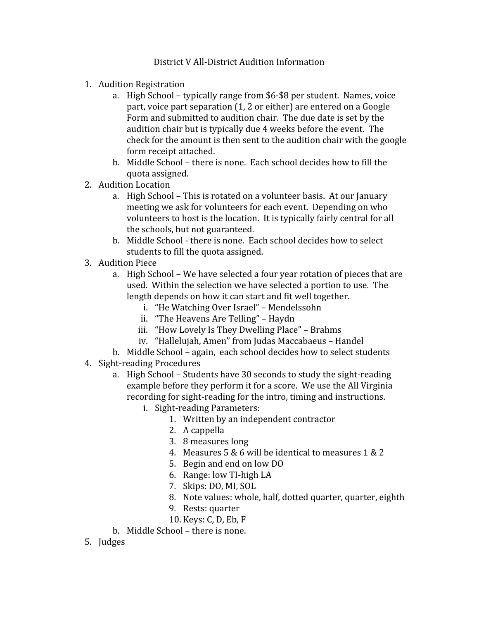## District V All-District Audition Information

- 1. Audition Registration
	- a. High School typically range from \$6-\$8 per student. Names, voice part, voice part separation (1, 2 or either) are entered on a Google Form and submitted to audition chair. The due date is set by the audition chair but is typically due 4 weeks before the event. The check for the amount is then sent to the audition chair with the google form receipt attached.
	- b. Middle School there is none. Each school decides how to fill the quota assigned.
- 2. Audition Location
	- a. High School This is rotated on a volunteer basis. At our January meeting we ask for volunteers for each event. Depending on who volunteers to host is the location. It is typically fairly central for all the schools, but not guaranteed.
	- b. Middle School there is none. Each school decides how to select students to fill the quota assigned.
- 3. Audition Piece
	- a. High School We have selected a four year rotation of pieces that are used. Within the selection we have selected a portion to use. The length depends on how it can start and fit well together.
		- i. "He Watching Over Israel" Mendelssohn
		- ii. "The Heavens Are Telling" Haydn
		- iii. "How Lovely Is They Dwelling Place" Brahms
		- iv. "Hallelujah, Amen" from Judas Maccabaeus Handel
	- b. Middle School again, each school decides how to select students
- 4. Sight-reading Procedures
	- a. High School Students have 30 seconds to study the sight-reading example before they perform it for a score. We use the All Virginia recording for sight-reading for the intro, timing and instructions.
		- i. Sight-reading Parameters:
			- 1. Written by an independent contractor
			- 2. A cappella
			- 3. 8 measures long
			- 4. Measures 5 & 6 will be identical to measures 1 & 2
			- 5. Begin and end on low DO
			- 6. Range: low TI-high LA
			- 7. Skips: DO, MI, SOL
			- 8. Note values: whole, half, dotted quarter, quarter, eighth
			- 9. Rests: quarter
			- 10. Keys: C, D, Eb, F
	- b. Middle School there is none.
- 5. Judges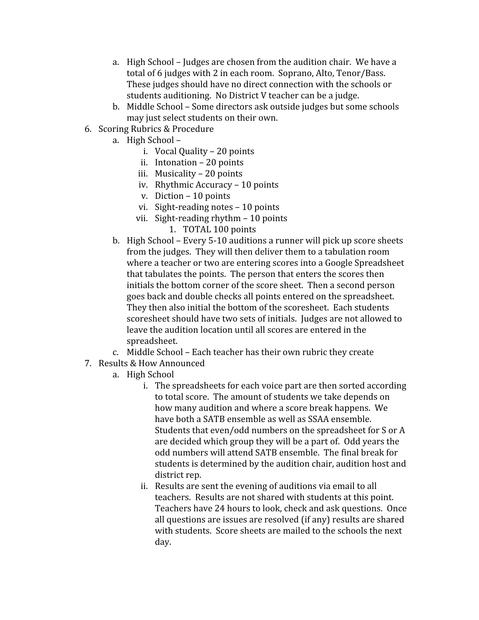- a. High School Judges are chosen from the audition chair. We have a total of 6 judges with 2 in each room. Soprano, Alto, Tenor/Bass. These judges should have no direct connection with the schools or students auditioning. No District V teacher can be a judge.
- b. Middle School Some directors ask outside judges but some schools may just select students on their own.
- 6. Scoring Rubrics & Procedure
	- a. High School
		- i. Vocal Quality 20 points
		- ii. Intonation 20 points
		- iii. Musicality 20 points
		- iv. Rhythmic Accuracy 10 points
		- v. Diction 10 points
		- vi. Sight-reading notes 10 points
		- vii. Sight-reading rhythm 10 points
			- 1. TOTAL 100 points
	- b. High School Every 5-10 auditions a runner will pick up score sheets from the judges. They will then deliver them to a tabulation room where a teacher or two are entering scores into a Google Spreadsheet that tabulates the points. The person that enters the scores then initials the bottom corner of the score sheet. Then a second person goes back and double checks all points entered on the spreadsheet. They then also initial the bottom of the scoresheet. Each students scoresheet should have two sets of initials. Judges are not allowed to leave the audition location until all scores are entered in the spreadsheet.
	- c. Middle School Each teacher has their own rubric they create
- 7. Results & How Announced
	- a. High School
		- i. The spreadsheets for each voice part are then sorted according to total score. The amount of students we take depends on how many audition and where a score break happens. We have both a SATB ensemble as well as SSAA ensemble. Students that even/odd numbers on the spreadsheet for S or A are decided which group they will be a part of. Odd years the odd numbers will attend SATB ensemble. The final break for students is determined by the audition chair, audition host and district rep.
		- ii. Results are sent the evening of auditions via email to all teachers. Results are not shared with students at this point. Teachers have 24 hours to look, check and ask questions. Once all questions are issues are resolved (if any) results are shared with students. Score sheets are mailed to the schools the next day.